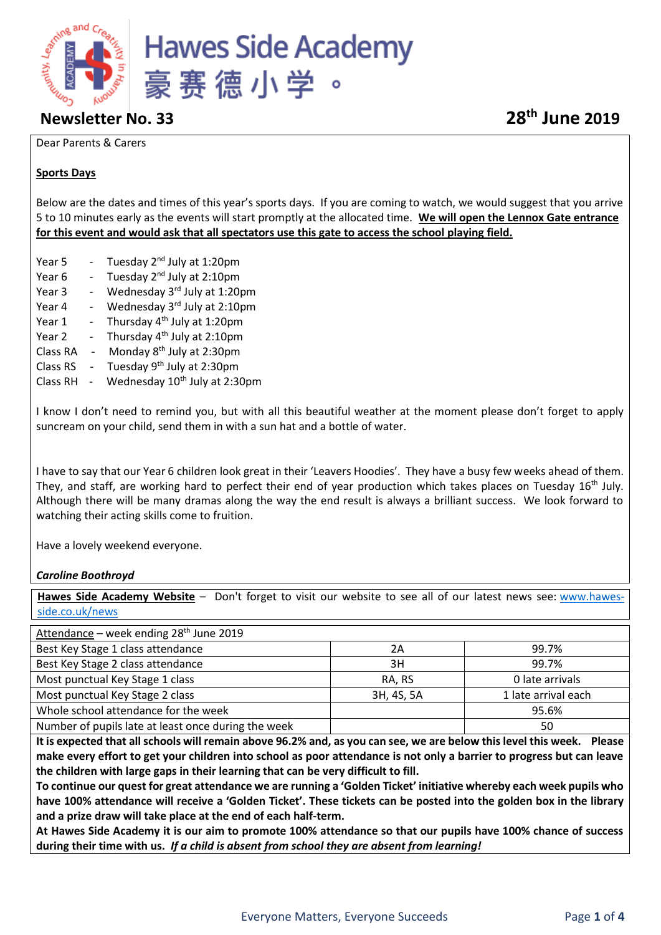

# **Newsletter No. 33 28th June 2019**

#### Dear Parents & Carers

### **Sports Days**

Below are the dates and times of this year's sports days. If you are coming to watch, we would suggest that you arrive 5 to 10 minutes early as the events will start promptly at the allocated time. **We will open the Lennox Gate entrance for this event and would ask that all spectators use this gate to access the school playing field.**

- Year 5 Tuesday 2<sup>nd</sup> July at 1:20pm
- Year 6  $-$  Tuesday 2<sup>nd</sup> July at 2:10pm
- Year 3 Wednesday  $3^{rd}$  July at 1:20pm
- Year 4 Wednesday 3rd July at 2:10pm
- Year  $1 -$  Thursday  $4<sup>th</sup>$  July at 1:20pm
- Year 2 Thursday  $4<sup>th</sup>$  July at 2:10pm
- Class RA  $-$  Monday  $8<sup>th</sup>$  July at 2:30pm
- Class RS  $-$  Tuesday 9<sup>th</sup> July at 2:30pm
- Class RH  $-$  Wednesday  $10<sup>th</sup>$  July at 2:30pm

I know I don't need to remind you, but with all this beautiful weather at the moment please don't forget to apply suncream on your child, send them in with a sun hat and a bottle of water.

I have to say that our Year 6 children look great in their 'Leavers Hoodies'. They have a busy few weeks ahead of them. They, and staff, are working hard to perfect their end of year production which takes places on Tuesday 16<sup>th</sup> July. Although there will be many dramas along the way the end result is always a brilliant success. We look forward to watching their acting skills come to fruition.

Have a lovely weekend everyone.

#### *Caroline Boothroyd*

**Hawes Side Academy Website** – Don't forget to visit our website to see all of our latest news see: [www.hawes](http://www.hawes-side.co.uk/news)[side.co.uk/news](http://www.hawes-side.co.uk/news)

| Attendance - week ending 28 <sup>th</sup> June 2019 |            |                     |
|-----------------------------------------------------|------------|---------------------|
| Best Key Stage 1 class attendance                   | 2Α         | 99.7%               |
| Best Key Stage 2 class attendance                   | 3H         | 99.7%               |
| Most punctual Key Stage 1 class                     | RA, RS     | 0 late arrivals     |
| Most punctual Key Stage 2 class                     | 3H, 4S, 5A | 1 late arrival each |
| Whole school attendance for the week                |            | 95.6%               |
| Number of pupils late at least once during the week |            | 50                  |

**It is expected that all schools will remain above 96.2% and, as you can see, we are below this level this week. Please make every effort to get your children into school as poor attendance is not only a barrier to progress but can leave the children with large gaps in their learning that can be very difficult to fill.** 

**To continue our quest for great attendance we are running a 'Golden Ticket' initiative whereby each week pupils who have 100% attendance will receive a 'Golden Ticket'. These tickets can be posted into the golden box in the library and a prize draw will take place at the end of each half-term.** 

**At Hawes Side Academy it is our aim to promote 100% attendance so that our pupils have 100% chance of success during their time with us.** *If a child is absent from school they are absent from learning!*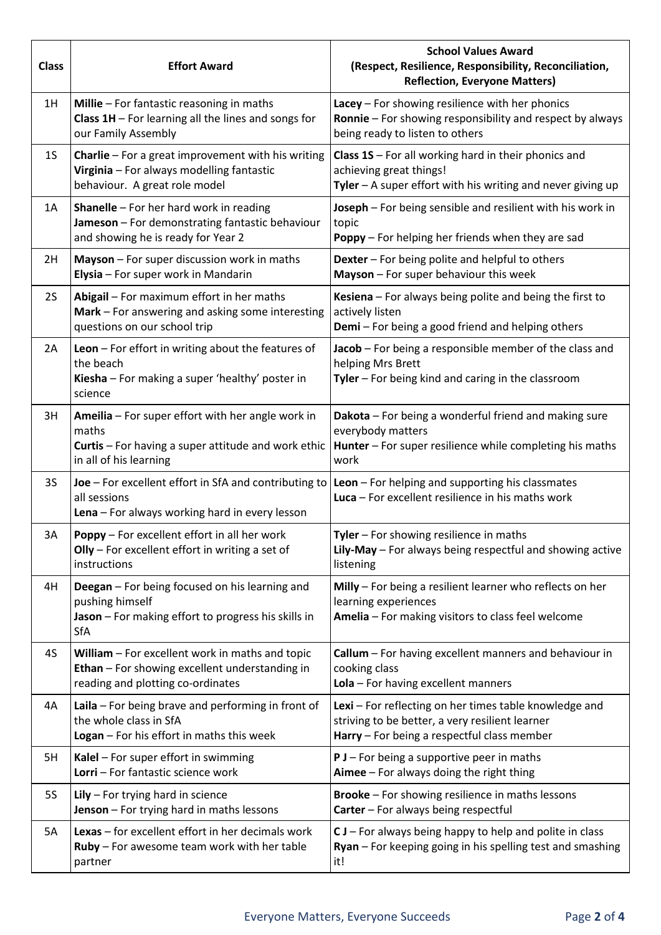| <b>Class</b>   | <b>Effort Award</b>                                                                                                                                                                            | <b>School Values Award</b><br>(Respect, Resilience, Responsibility, Reconciliation,<br><b>Reflection, Everyone Matters)</b>                              |  |
|----------------|------------------------------------------------------------------------------------------------------------------------------------------------------------------------------------------------|----------------------------------------------------------------------------------------------------------------------------------------------------------|--|
| 1H             | Millie - For fantastic reasoning in maths<br>Class $1H$ – For learning all the lines and songs for<br>our Family Assembly                                                                      | Lacey - For showing resilience with her phonics<br>Ronnie - For showing responsibility and respect by always<br>being ready to listen to others          |  |
| 1 <sub>S</sub> | Charlie - For a great improvement with his writing<br>Virginia - For always modelling fantastic<br>behaviour. A great role model                                                               | Class 1S - For all working hard in their phonics and<br>achieving great things!<br>Tyler - A super effort with his writing and never giving up           |  |
| 1A             | <b>Shanelle</b> - For her hard work in reading<br>Jameson - For demonstrating fantastic behaviour<br>and showing he is ready for Year 2                                                        | Joseph - For being sensible and resilient with his work in<br>topic<br><b>Poppy</b> – For helping her friends when they are sad                          |  |
| 2H             | Mayson - For super discussion work in maths<br>Elysia - For super work in Mandarin                                                                                                             | Dexter - For being polite and helpful to others<br>Mayson - For super behaviour this week                                                                |  |
| <b>2S</b>      | Abigail - For maximum effort in her maths<br>Mark - For answering and asking some interesting<br>questions on our school trip                                                                  | Kesiena - For always being polite and being the first to<br>actively listen<br>Demi - For being a good friend and helping others                         |  |
| 2A             | Leon $-$ For effort in writing about the features of<br>the beach<br>Kiesha - For making a super 'healthy' poster in<br>science                                                                | Jacob - For being a responsible member of the class and<br>helping Mrs Brett<br>Tyler - For being kind and caring in the classroom                       |  |
| 3H             | Ameilia - For super effort with her angle work in<br>maths<br>Curtis - For having a super attitude and work ethic<br>in all of his learning                                                    | Dakota - For being a wonderful friend and making sure<br>everybody matters<br>Hunter - For super resilience while completing his maths<br>work           |  |
| 3S             | <b>Joe</b> – For excellent effort in SfA and contributing to $\vert$ <b>Leon</b> – For helping and supporting his classmates<br>all sessions<br>Lena - For always working hard in every lesson | Luca - For excellent resilience in his maths work                                                                                                        |  |
| 3A             | Poppy - For excellent effort in all her work<br>$OIIy$ – For excellent effort in writing a set of<br>instructions                                                                              | Tyler - For showing resilience in maths<br>Lily-May - For always being respectful and showing active<br>listening                                        |  |
| 4H             | Deegan - For being focused on his learning and<br>pushing himself<br>Jason - For making effort to progress his skills in<br>SfA                                                                | Milly - For being a resilient learner who reflects on her<br>learning experiences<br>Amelia - For making visitors to class feel welcome                  |  |
| 4S             | William - For excellent work in maths and topic<br>Ethan - For showing excellent understanding in<br>reading and plotting co-ordinates                                                         | Callum - For having excellent manners and behaviour in<br>cooking class<br>Lola - For having excellent manners                                           |  |
| 4A             | Laila $-$ For being brave and performing in front of<br>the whole class in SfA<br>Logan - For his effort in maths this week                                                                    | Lexi - For reflecting on her times table knowledge and<br>striving to be better, a very resilient learner<br>Harry - For being a respectful class member |  |
| 5H             | Kalel - For super effort in swimming<br>Lorri - For fantastic science work                                                                                                                     | $P$ J – For being a supportive peer in maths<br>Aimee - For always doing the right thing                                                                 |  |
| <b>5S</b>      | Lily $-$ For trying hard in science<br>Jenson - For trying hard in maths lessons                                                                                                               | Brooke - For showing resilience in maths lessons<br>Carter - For always being respectful                                                                 |  |
| 5A             | Lexas - for excellent effort in her decimals work<br>Ruby - For awesome team work with her table<br>partner                                                                                    | $C$ J – For always being happy to help and polite in class<br>Ryan - For keeping going in his spelling test and smashing<br>it!                          |  |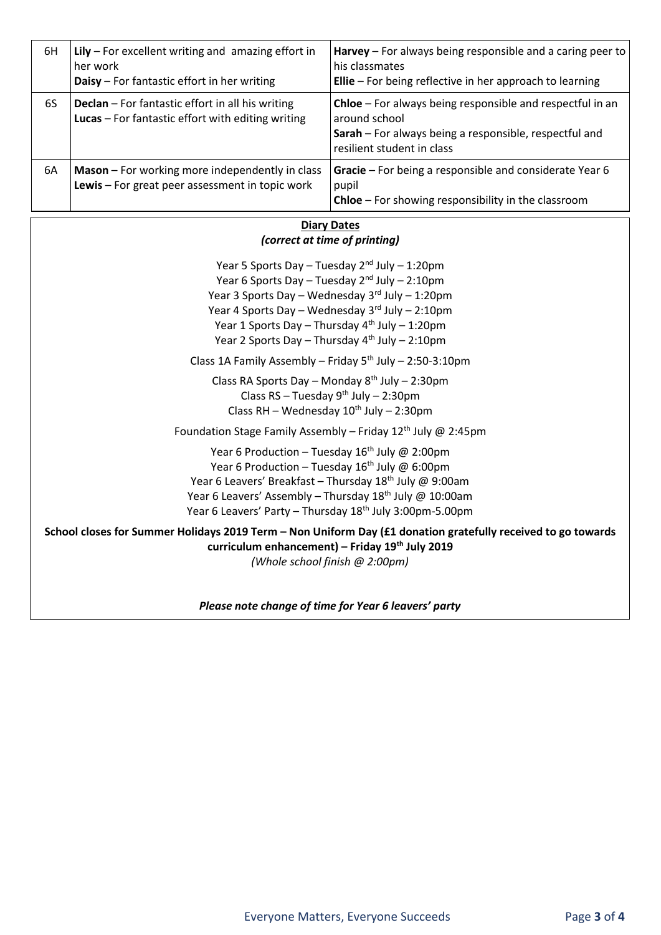| 6H    | Lily $-$ For excellent writing and amazing effort in<br>her work<br>Daisy - For fantastic effort in her writing | <b>Harvey</b> – For always being responsible and a caring peer to<br>l his classmates<br><b>Ellie</b> – For being reflective in her approach to learning                  |  |  |
|-------|-----------------------------------------------------------------------------------------------------------------|---------------------------------------------------------------------------------------------------------------------------------------------------------------------------|--|--|
| 6S    | <b>Declan</b> – For fantastic effort in all his writing<br>Lucas - For fantastic effort with editing writing    | <b>Chloe</b> – For always being responsible and respectful in an<br>around school<br>Sarah – For always being a responsible, respectful and<br>resilient student in class |  |  |
| 6A    | Mason - For working more independently in class<br>Lewis - For great peer assessment in topic work              | Gracie – For being a responsible and considerate Year 6<br>pupil<br><b>Chloe</b> – For showing responsibility in the classroom                                            |  |  |
| Dates |                                                                                                                 |                                                                                                                                                                           |  |  |

## *(correct at time of printing)*

Year 5 Sports Day – Tuesday  $2<sup>nd</sup>$  July – 1:20pm Year 6 Sports Day – Tuesday 2nd July – 2:10pm Year 3 Sports Day – Wednesday  $3<sup>rd</sup>$  July – 1:20pm Year 4 Sports Day – Wednesday 3rd July – 2:10pm Year 1 Sports Day – Thursday  $4<sup>th</sup>$  July – 1:20pm Year 2 Sports Day – Thursday  $4<sup>th</sup>$  July – 2:10pm

Class 1A Family Assembly – Friday  $5<sup>th</sup>$  July – 2:50-3:10pm

Class RA Sports Day – Monday  $8<sup>th</sup>$  July – 2:30pm Class  $RS - Tuesday 9<sup>th</sup> July - 2:30pm$ Class RH – Wednesday  $10^{th}$  July – 2:30pm

Foundation Stage Family Assembly – Friday  $12^{th}$  July @ 2:45pm

Year 6 Production – Tuesday  $16^{th}$  July @ 2:00pm Year 6 Production – Tuesday  $16^{th}$  July @ 6:00pm Year 6 Leavers' Breakfast – Thursday  $18^{th}$  July @ 9:00am Year 6 Leavers' Assembly - Thursday 18<sup>th</sup> July @ 10:00am Year 6 Leavers' Party - Thursday 18<sup>th</sup> July 3:00pm-5.00pm

#### **School closes for Summer Holidays 2019 Term – Non Uniform Day (£1 donation gratefully received to go towards curriculum enhancement) – Friday 19th July 2019** *(Whole school finish @ 2:00pm)*

*Please note change of time for Year 6 leavers' party*